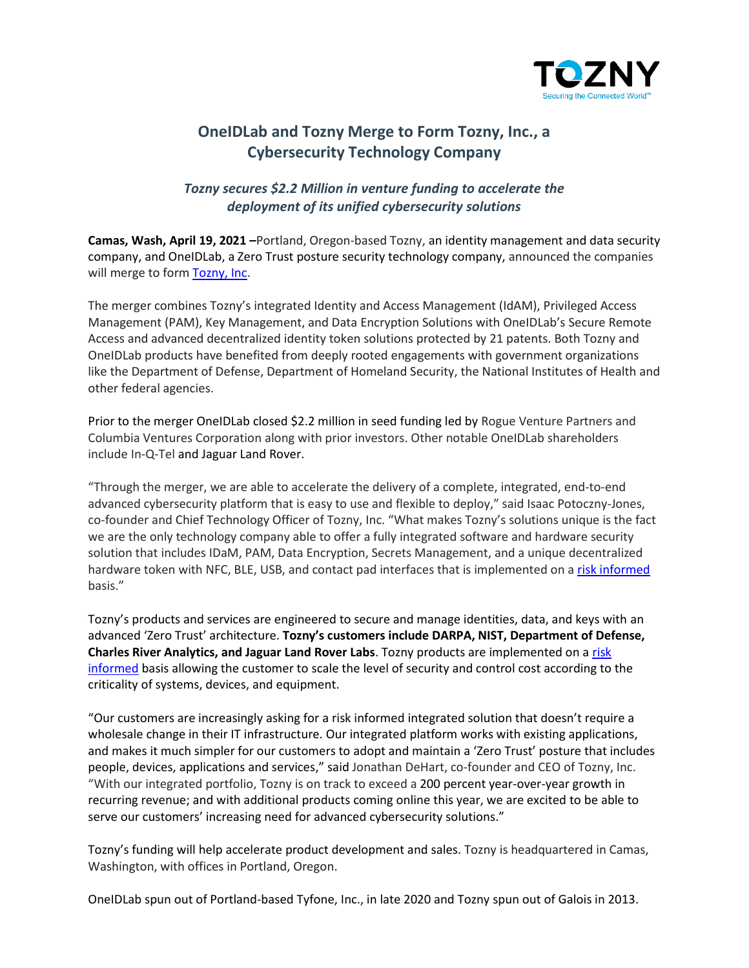

## **OneIDLab and Tozny Merge to Form Tozny, Inc., a Cybersecurity Technology Company**

## *Tozny secures \$2.2 Million in venture funding to accelerate the deployment of its unified cybersecurity solutions*

**Camas, Wash, April 19, 2021 –**Portland, Oregon-based Tozny, an identity management and data security company, and OneIDLab, a Zero Trust posture security technology company, announced the companies will merge to for[m Tozny, Inc.](https://tozny.com/tozny-and-oneidlab-merge)

The merger combines Tozny's integrated Identity and Access Management (IdAM), Privileged Access Management (PAM), Key Management, and Data Encryption Solutions with OneIDLab's Secure Remote Access and advanced decentralized identity token solutions protected by 21 patents. Both Tozny and OneIDLab products have benefited from deeply rooted engagements with government organizations like the Department of Defense, Department of Homeland Security, the National Institutes of Health and other federal agencies.

Prior to the merger OneIDLab closed \$2.2 million in seed funding led by Rogue Venture Partners and Columbia Ventures Corporation along with prior investors. Other notable OneIDLab shareholders include In-Q-Tel and Jaguar Land Rover.

"Through the merger, we are able to accelerate the delivery of a complete, integrated, end-to-end advanced cybersecurity platform that is easy to use and flexible to deploy," said Isaac Potoczny-Jones, co-founder and Chief Technology Officer of Tozny, Inc. "What makes Tozny's solutions unique is the fact we are the only technology company able to offer a fully integrated software and hardware security solution that includes IDaM, PAM, Data Encryption, Secrets Management, and a unique decentralized hardware token with NFC, BLE, USB, and contact pad interfaces that is implemented on a [risk informed](https://tozny.com/tozny-and-oneidlab-merge) basis."

Tozny's products and services are engineered to secure and manage identities, data, and keys with an advanced 'Zero Trust' architecture. **Tozny's customers include DARPA, NIST, Department of Defense, Charles River Analytics, and Jaguar Land Rover Labs**. Tozny products are implemented on a [risk](https://tozny.com/tozny-and-oneidlab-merge)  [informed](https://tozny.com/tozny-and-oneidlab-merge) basis allowing the customer to scale the level of security and control cost according to the criticality of systems, devices, and equipment.

"Our customers are increasingly asking for a risk informed integrated solution that doesn't require a wholesale change in their IT infrastructure. Our integrated platform works with existing applications, and makes it much simpler for our customers to adopt and maintain a 'Zero Trust' posture that includes people, devices, applications and services," said Jonathan DeHart, co-founder and CEO of Tozny, Inc. "With our integrated portfolio, Tozny is on track to exceed a 200 percent year-over-year growth in recurring revenue; and with additional products coming online this year, we are excited to be able to serve our customers' increasing need for advanced cybersecurity solutions."

Tozny's funding will help accelerate product development and sales. Tozny is headquartered in Camas, Washington, with offices in Portland, Oregon.

OneIDLab spun out of Portland-based Tyfone, Inc., in late 2020 and Tozny spun out of Galois in 2013.